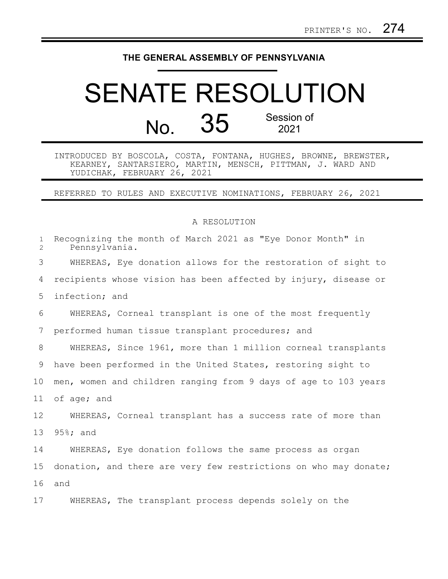## **THE GENERAL ASSEMBLY OF PENNSYLVANIA**

## SENATE RESOLUTION No. 35 Session of 2021

INTRODUCED BY BOSCOLA, COSTA, FONTANA, HUGHES, BROWNE, BREWSTER, KEARNEY, SANTARSIERO, MARTIN, MENSCH, PITTMAN, J. WARD AND YUDICHAK, FEBRUARY 26, 2021

REFERRED TO RULES AND EXECUTIVE NOMINATIONS, FEBRUARY 26, 2021

## A RESOLUTION

| $\mathbf{1}$<br>$\overline{2}$ | Recognizing the month of March 2021 as "Eye Donor Month" in<br>Pennsylvania. |
|--------------------------------|------------------------------------------------------------------------------|
| 3                              | WHEREAS, Eye donation allows for the restoration of sight to                 |
| 4                              | recipients whose vision has been affected by injury, disease or              |
| 5                              | infection; and                                                               |
| 6                              | WHEREAS, Corneal transplant is one of the most frequently                    |
| 7                              | performed human tissue transplant procedures; and                            |
| 8                              | WHEREAS, Since 1961, more than 1 million corneal transplants                 |
| 9                              | have been performed in the United States, restoring sight to                 |
| 10 <sub>o</sub>                | men, women and children ranging from 9 days of age to 103 years              |
| 11                             | of age; and                                                                  |
| $12 \,$                        | WHEREAS, Corneal transplant has a success rate of more than                  |
| 13                             | $95\$ ; and                                                                  |
| 14                             | WHEREAS, Eye donation follows the same process as organ                      |
| 15                             | donation, and there are very few restrictions on who may donate;             |
| 16                             | and                                                                          |
| 17                             | WHEREAS, The transplant process depends solely on the                        |